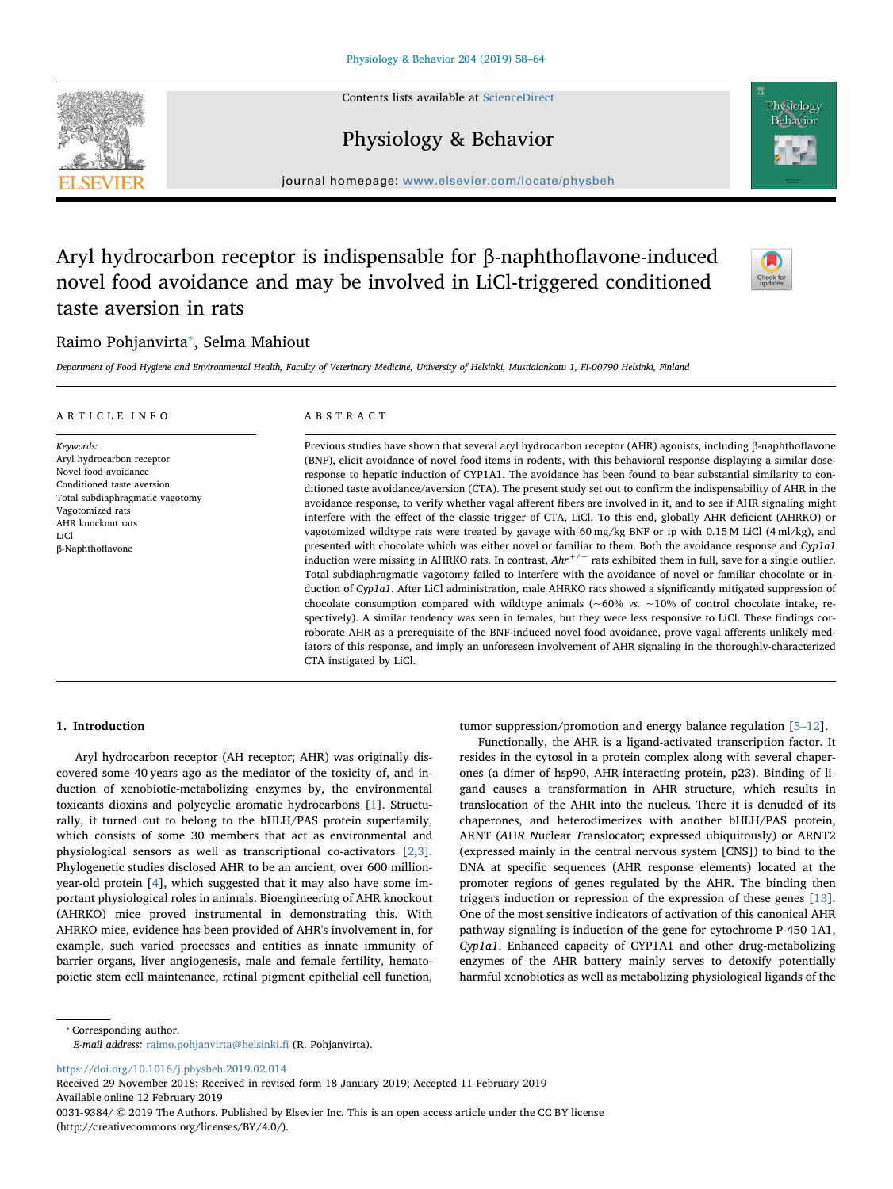Contents lists available at [ScienceDirect](http://www.sciencedirect.com/science/journal/00319384)



journal homepage: [www.elsevier.com/locate/physbeh](https://www.elsevier.com/locate/physbeh)

Physiology & Behavior

# Aryl hydrocarbon receptor is indispensable for β-naphthoflavone-induced novel food avoidance and may be involved in LiCl-triggered conditioned taste aversion in rats



# Raimo Pohjanvirta[⁎](#page-0-0) , Selma Mahiout

Department of Food Hygiene and Environmental Health, Faculty of Veterinary Medicine, University of Helsinki, Mustialankatu 1, FI-00790 Helsinki, Finland

# ARTICLE INFO

Keywords: Aryl hydrocarbon receptor Novel food avoidance Conditioned taste aversion Total subdiaphragmatic vagotomy Vagotomized rats AHR knockout rats LiCl β-Naphthoflavone

# ABSTRACT

Previous studies have shown that several aryl hydrocarbon receptor (AHR) agonists, including β-naphthoflavone (BNF), elicit avoidance of novel food items in rodents, with this behavioral response displaying a similar doseresponse to hepatic induction of CYP1A1. The avoidance has been found to bear substantial similarity to conditioned taste avoidance/aversion (CTA). The present study set out to confirm the indispensability of AHR in the avoidance response, to verify whether vagal afferent fibers are involved in it, and to see if AHR signaling might interfere with the effect of the classic trigger of CTA, LiCl. To this end, globally AHR deficient (AHRKO) or vagotomized wildtype rats were treated by gavage with 60 mg/kg BNF or ip with 0.15 M LiCl (4 ml/kg), and presented with chocolate which was either novel or familiar to them. Both the avoidance response and Cyp1a1 induction were missing in AHRKO rats. In contrast,  $Ahr^{+/-}$  rats exhibited them in full, save for a single outlier. Total subdiaphragmatic vagotomy failed to interfere with the avoidance of novel or familiar chocolate or induction of Cyp1a1. After LiCl administration, male AHRKO rats showed a significantly mitigated suppression of chocolate consumption compared with wildtype animals ( $\sim 60\%$  vs.  $\sim 10\%$  of control chocolate intake, respectively). A similar tendency was seen in females, but they were less responsive to LiCl. These findings corroborate AHR as a prerequisite of the BNF-induced novel food avoidance, prove vagal afferents unlikely mediators of this response, and imply an unforeseen involvement of AHR signaling in the thoroughly-characterized CTA instigated by LiCl.

# 1. Introduction

Aryl hydrocarbon receptor (AH receptor; AHR) was originally discovered some 40 years ago as the mediator of the toxicity of, and induction of xenobiotic-metabolizing enzymes by, the environmental toxicants dioxins and polycyclic aromatic hydrocarbons [\[1\]](#page-6-0). Structurally, it turned out to belong to the bHLH/PAS protein superfamily, which consists of some 30 members that act as environmental and physiological sensors as well as transcriptional co-activators [[2](#page-6-1),[3](#page-6-2)]. Phylogenetic studies disclosed AHR to be an ancient, over 600 millionyear-old protein [\[4\]](#page-6-3), which suggested that it may also have some important physiological roles in animals. Bioengineering of AHR knockout (AHRKO) mice proved instrumental in demonstrating this. With AHRKO mice, evidence has been provided of AHR's involvement in, for example, such varied processes and entities as innate immunity of barrier organs, liver angiogenesis, male and female fertility, hematopoietic stem cell maintenance, retinal pigment epithelial cell function,

tumor suppression/promotion and energy balance regulation [5–[12](#page-6-4)].

Functionally, the AHR is a ligand-activated transcription factor. It resides in the cytosol in a protein complex along with several chaperones (a dimer of hsp90, AHR-interacting protein, p23). Binding of ligand causes a transformation in AHR structure, which results in translocation of the AHR into the nucleus. There it is denuded of its chaperones, and heterodimerizes with another bHLH/PAS protein, ARNT (AHR Nuclear Translocator; expressed ubiquitously) or ARNT2 (expressed mainly in the central nervous system [CNS]) to bind to the DNA at specific sequences (AHR response elements) located at the promoter regions of genes regulated by the AHR. The binding then triggers induction or repression of the expression of these genes [\[13](#page-6-5)]. One of the most sensitive indicators of activation of this canonical AHR pathway signaling is induction of the gene for cytochrome P-450 1A1, Cyp1a1. Enhanced capacity of CYP1A1 and other drug-metabolizing enzymes of the AHR battery mainly serves to detoxify potentially harmful xenobiotics as well as metabolizing physiological ligands of the

<span id="page-0-0"></span>⁎ Corresponding author. E-mail address: [raimo.pohjanvirta@helsinki.](mailto:raimo.pohjanvirta@helsinki.fi)fi (R. Pohjanvirta).

<https://doi.org/10.1016/j.physbeh.2019.02.014>

Received 29 November 2018; Received in revised form 18 January 2019; Accepted 11 February 2019 Available online 12 February 2019

0031-9384/ © 2019 The Authors. Published by Elsevier Inc. This is an open access article under the CC BY license (http://creativecommons.org/licenses/BY/4.0/).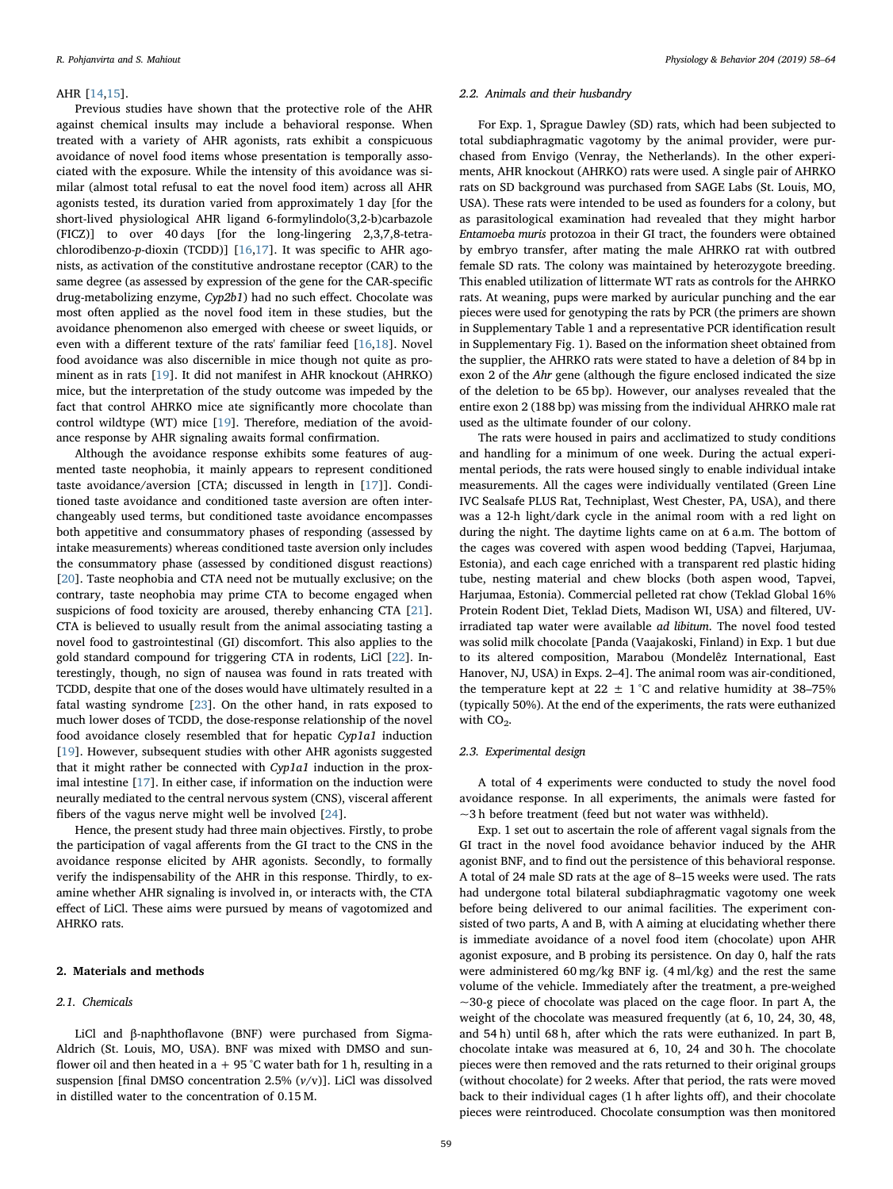#### AHR [\[14](#page-6-6)[,15](#page-6-7)].

Previous studies have shown that the protective role of the AHR against chemical insults may include a behavioral response. When treated with a variety of AHR agonists, rats exhibit a conspicuous avoidance of novel food items whose presentation is temporally associated with the exposure. While the intensity of this avoidance was similar (almost total refusal to eat the novel food item) across all AHR agonists tested, its duration varied from approximately 1 day [for the short-lived physiological AHR ligand 6-formylindolo(3,2-b)carbazole (FICZ)] to over 40 days [for the long-lingering 2,3,7,8-tetrachlorodibenzo-p-dioxin (TCDD)] [\[16](#page-6-8)[,17](#page-6-9)]. It was specific to AHR agonists, as activation of the constitutive androstane receptor (CAR) to the same degree (as assessed by expression of the gene for the CAR-specific drug-metabolizing enzyme, Cyp2b1) had no such effect. Chocolate was most often applied as the novel food item in these studies, but the avoidance phenomenon also emerged with cheese or sweet liquids, or even with a different texture of the rats' familiar feed [\[16](#page-6-8)[,18](#page-6-10)]. Novel food avoidance was also discernible in mice though not quite as prominent as in rats [\[19](#page-6-11)]. It did not manifest in AHR knockout (AHRKO) mice, but the interpretation of the study outcome was impeded by the fact that control AHRKO mice ate significantly more chocolate than control wildtype (WT) mice [\[19](#page-6-11)]. Therefore, mediation of the avoidance response by AHR signaling awaits formal confirmation.

Although the avoidance response exhibits some features of augmented taste neophobia, it mainly appears to represent conditioned taste avoidance/aversion [CTA; discussed in length in [[17\]](#page-6-9)]. Conditioned taste avoidance and conditioned taste aversion are often interchangeably used terms, but conditioned taste avoidance encompasses both appetitive and consummatory phases of responding (assessed by intake measurements) whereas conditioned taste aversion only includes the consummatory phase (assessed by conditioned disgust reactions) [[20\]](#page-6-12). Taste neophobia and CTA need not be mutually exclusive; on the contrary, taste neophobia may prime CTA to become engaged when suspicions of food toxicity are aroused, thereby enhancing CTA [\[21](#page-6-13)]. CTA is believed to usually result from the animal associating tasting a novel food to gastrointestinal (GI) discomfort. This also applies to the gold standard compound for triggering CTA in rodents, LiCl [\[22](#page-6-14)]. Interestingly, though, no sign of nausea was found in rats treated with TCDD, despite that one of the doses would have ultimately resulted in a fatal wasting syndrome [[23\]](#page-6-15). On the other hand, in rats exposed to much lower doses of TCDD, the dose-response relationship of the novel food avoidance closely resembled that for hepatic Cyp1a1 induction [[19\]](#page-6-11). However, subsequent studies with other AHR agonists suggested that it might rather be connected with Cyp1a1 induction in the proximal intestine [\[17](#page-6-9)]. In either case, if information on the induction were neurally mediated to the central nervous system (CNS), visceral afferent fibers of the vagus nerve might well be involved [[24\]](#page-6-16).

Hence, the present study had three main objectives. Firstly, to probe the participation of vagal afferents from the GI tract to the CNS in the avoidance response elicited by AHR agonists. Secondly, to formally verify the indispensability of the AHR in this response. Thirdly, to examine whether AHR signaling is involved in, or interacts with, the CTA effect of LiCl. These aims were pursued by means of vagotomized and AHRKO rats.

# 2. Materials and methods

# 2.1. Chemicals

LiCl and β-naphthoflavone (BNF) were purchased from Sigma-Aldrich (St. Louis, MO, USA). BNF was mixed with DMSO and sunflower oil and then heated in a  $+95$  °C water bath for 1 h, resulting in a suspension [final DMSO concentration 2.5%  $(v/v)$ ]. LiCl was dissolved in distilled water to the concentration of 0.15 M.

#### 2.2. Animals and their husbandry

For Exp. 1, Sprague Dawley (SD) rats, which had been subjected to total subdiaphragmatic vagotomy by the animal provider, were purchased from Envigo (Venray, the Netherlands). In the other experiments, AHR knockout (AHRKO) rats were used. A single pair of AHRKO rats on SD background was purchased from SAGE Labs (St. Louis, MO, USA). These rats were intended to be used as founders for a colony, but as parasitological examination had revealed that they might harbor Entamoeba muris protozoa in their GI tract, the founders were obtained by embryo transfer, after mating the male AHRKO rat with outbred female SD rats. The colony was maintained by heterozygote breeding. This enabled utilization of littermate WT rats as controls for the AHRKO rats. At weaning, pups were marked by auricular punching and the ear pieces were used for genotyping the rats by PCR (the primers are shown in Supplementary Table 1 and a representative PCR identification result in Supplementary Fig. 1). Based on the information sheet obtained from the supplier, the AHRKO rats were stated to have a deletion of 84 bp in exon 2 of the Ahr gene (although the figure enclosed indicated the size of the deletion to be 65 bp). However, our analyses revealed that the entire exon 2 (188 bp) was missing from the individual AHRKO male rat used as the ultimate founder of our colony.

The rats were housed in pairs and acclimatized to study conditions and handling for a minimum of one week. During the actual experimental periods, the rats were housed singly to enable individual intake measurements. All the cages were individually ventilated (Green Line IVC Sealsafe PLUS Rat, Techniplast, West Chester, PA, USA), and there was a 12-h light/dark cycle in the animal room with a red light on during the night. The daytime lights came on at 6 a.m. The bottom of the cages was covered with aspen wood bedding (Tapvei, Harjumaa, Estonia), and each cage enriched with a transparent red plastic hiding tube, nesting material and chew blocks (both aspen wood, Tapvei, Harjumaa, Estonia). Commercial pelleted rat chow (Teklad Global 16% Protein Rodent Diet, Teklad Diets, Madison WI, USA) and filtered, UVirradiated tap water were available ad libitum. The novel food tested was solid milk chocolate [Panda (Vaajakoski, Finland) in Exp. 1 but due to its altered composition, Marabou (Mondelêz International, East Hanover, NJ, USA) in Exps. 2–4]. The animal room was air-conditioned, the temperature kept at  $22 \pm 1$  °C and relative humidity at 38–75% (typically 50%). At the end of the experiments, the rats were euthanized with  $CO<sub>2</sub>$ .

### 2.3. Experimental design

A total of 4 experiments were conducted to study the novel food avoidance response. In all experiments, the animals were fasted for  $\sim$ 3 h before treatment (feed but not water was withheld).

Exp. 1 set out to ascertain the role of afferent vagal signals from the GI tract in the novel food avoidance behavior induced by the AHR agonist BNF, and to find out the persistence of this behavioral response. A total of 24 male SD rats at the age of 8–15 weeks were used. The rats had undergone total bilateral subdiaphragmatic vagotomy one week before being delivered to our animal facilities. The experiment consisted of two parts, A and B, with A aiming at elucidating whether there is immediate avoidance of a novel food item (chocolate) upon AHR agonist exposure, and B probing its persistence. On day 0, half the rats were administered 60 mg/kg BNF ig. (4 ml/kg) and the rest the same volume of the vehicle. Immediately after the treatment, a pre-weighed  $\sim$ 30-g piece of chocolate was placed on the cage floor. In part A, the weight of the chocolate was measured frequently (at 6, 10, 24, 30, 48, and 54 h) until 68 h, after which the rats were euthanized. In part B, chocolate intake was measured at 6, 10, 24 and 30 h. The chocolate pieces were then removed and the rats returned to their original groups (without chocolate) for 2 weeks. After that period, the rats were moved back to their individual cages (1 h after lights off), and their chocolate pieces were reintroduced. Chocolate consumption was then monitored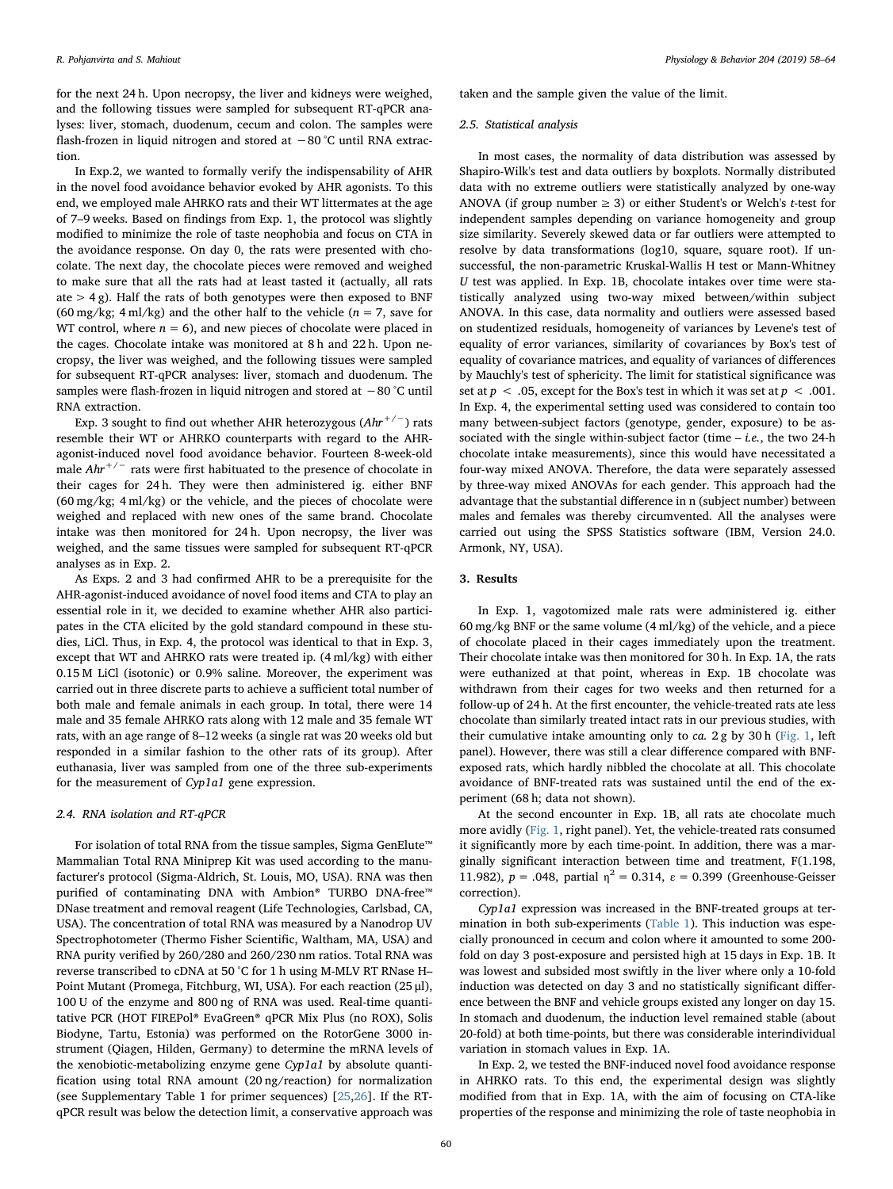for the next 24 h. Upon necropsy, the liver and kidneys were weighed, and the following tissues were sampled for subsequent RT-qPCR analyses: liver, stomach, duodenum, cecum and colon. The samples were flash-frozen in liquid nitrogen and stored at −80 °C until RNA extraction.

In Exp.2, we wanted to formally verify the indispensability of AHR in the novel food avoidance behavior evoked by AHR agonists. To this end, we employed male AHRKO rats and their WT littermates at the age of 7–9 weeks. Based on findings from Exp. 1, the protocol was slightly modified to minimize the role of taste neophobia and focus on CTA in the avoidance response. On day 0, the rats were presented with chocolate. The next day, the chocolate pieces were removed and weighed to make sure that all the rats had at least tasted it (actually, all rats ate  $>$  4 g). Half the rats of both genotypes were then exposed to BNF (60 mg/kg; 4 ml/kg) and the other half to the vehicle ( $n = 7$ , save for WT control, where  $n = 6$ ), and new pieces of chocolate were placed in the cages. Chocolate intake was monitored at 8 h and 22 h. Upon necropsy, the liver was weighed, and the following tissues were sampled for subsequent RT-qPCR analyses: liver, stomach and duodenum. The samples were flash-frozen in liquid nitrogen and stored at −80 °C until RNA extraction.

Exp. 3 sought to find out whether AHR heterozygous  $(Ahr^{+/-})$  rats resemble their WT or AHRKO counterparts with regard to the AHRagonist-induced novel food avoidance behavior. Fourteen 8-week-old male  $Ahr^{+/-}$  rats were first habituated to the presence of chocolate in their cages for 24 h. They were then administered ig. either BNF (60 mg/kg; 4 ml/kg) or the vehicle, and the pieces of chocolate were weighed and replaced with new ones of the same brand. Chocolate intake was then monitored for 24 h. Upon necropsy, the liver was weighed, and the same tissues were sampled for subsequent RT-qPCR analyses as in Exp. 2.

As Exps. 2 and 3 had confirmed AHR to be a prerequisite for the AHR-agonist-induced avoidance of novel food items and CTA to play an essential role in it, we decided to examine whether AHR also participates in the CTA elicited by the gold standard compound in these studies, LiCl. Thus, in Exp. 4, the protocol was identical to that in Exp. 3, except that WT and AHRKO rats were treated ip. (4 ml/kg) with either 0.15 M LiCl (isotonic) or 0.9% saline. Moreover, the experiment was carried out in three discrete parts to achieve a sufficient total number of both male and female animals in each group. In total, there were 14 male and 35 female AHRKO rats along with 12 male and 35 female WT rats, with an age range of 8–12 weeks (a single rat was 20 weeks old but responded in a similar fashion to the other rats of its group). After euthanasia, liver was sampled from one of the three sub-experiments for the measurement of Cyp1a1 gene expression.

#### 2.4. RNA isolation and RT-qPCR

For isolation of total RNA from the tissue samples, Sigma GenElute™ Mammalian Total RNA Miniprep Kit was used according to the manufacturer's protocol (Sigma-Aldrich, St. Louis, MO, USA). RNA was then purified of contaminating DNA with Ambion® TURBO DNA-free™ DNase treatment and removal reagent (Life Technologies, Carlsbad, CA, USA). The concentration of total RNA was measured by a Nanodrop UV Spectrophotometer (Thermo Fisher Scientific, Waltham, MA, USA) and RNA purity verified by 260/280 and 260/230 nm ratios. Total RNA was reverse transcribed to cDNA at 50 °C for 1 h using M-MLV RT RNase H– Point Mutant (Promega, Fitchburg, WI, USA). For each reaction (25 μl), 100 U of the enzyme and 800 ng of RNA was used. Real-time quantitative PCR (HOT FIREPol® EvaGreen® qPCR Mix Plus (no ROX), Solis Biodyne, Tartu, Estonia) was performed on the RotorGene 3000 instrument (Qiagen, Hilden, Germany) to determine the mRNA levels of the xenobiotic-metabolizing enzyme gene Cyp1a1 by absolute quantification using total RNA amount (20 ng/reaction) for normalization (see Supplementary Table 1 for primer sequences) [\[25](#page-6-17)[,26](#page-6-18)]. If the RTqPCR result was below the detection limit, a conservative approach was taken and the sample given the value of the limit.

#### 2.5. Statistical analysis

In most cases, the normality of data distribution was assessed by Shapiro-Wilk's test and data outliers by boxplots. Normally distributed data with no extreme outliers were statistically analyzed by one-way ANOVA (if group number  $\geq$  3) or either Student's or Welch's t-test for independent samples depending on variance homogeneity and group size similarity. Severely skewed data or far outliers were attempted to resolve by data transformations (log10, square, square root). If unsuccessful, the non-parametric Kruskal-Wallis H test or Mann-Whitney U test was applied. In Exp. 1B, chocolate intakes over time were statistically analyzed using two-way mixed between/within subject ANOVA. In this case, data normality and outliers were assessed based on studentized residuals, homogeneity of variances by Levene's test of equality of error variances, similarity of covariances by Box's test of equality of covariance matrices, and equality of variances of differences by Mauchly's test of sphericity. The limit for statistical significance was set at  $p < .05$ , except for the Box's test in which it was set at  $p < .001$ . In Exp. 4, the experimental setting used was considered to contain too many between-subject factors (genotype, gender, exposure) to be associated with the single within-subject factor (time  $- i.e.,$  the two 24-h chocolate intake measurements), since this would have necessitated a four-way mixed ANOVA. Therefore, the data were separately assessed by three-way mixed ANOVAs for each gender. This approach had the advantage that the substantial difference in n (subject number) between males and females was thereby circumvented. All the analyses were carried out using the SPSS Statistics software (IBM, Version 24.0. Armonk, NY, USA).

# 3. Results

In Exp. 1, vagotomized male rats were administered ig. either 60 mg/kg BNF or the same volume (4 ml/kg) of the vehicle, and a piece of chocolate placed in their cages immediately upon the treatment. Their chocolate intake was then monitored for 30 h. In Exp. 1A, the rats were euthanized at that point, whereas in Exp. 1B chocolate was withdrawn from their cages for two weeks and then returned for a follow-up of 24 h. At the first encounter, the vehicle-treated rats ate less chocolate than similarly treated intact rats in our previous studies, with their cumulative intake amounting only to  $ca$ .  $2g$  by  $30h$  [\(Fig. 1,](#page-3-0) left panel). However, there was still a clear difference compared with BNFexposed rats, which hardly nibbled the chocolate at all. This chocolate avoidance of BNF-treated rats was sustained until the end of the experiment (68 h; data not shown).

At the second encounter in Exp. 1B, all rats ate chocolate much more avidly ([Fig. 1](#page-3-0), right panel). Yet, the vehicle-treated rats consumed it significantly more by each time-point. In addition, there was a marginally significant interaction between time and treatment, F(1.198, 11.982),  $p = .048$ , partial  $η<sup>2</sup> = 0.314$ ,  $ε = 0.399$  (Greenhouse-Geisser correction).

Cyp1a1 expression was increased in the BNF-treated groups at termination in both sub-experiments ([Table 1\)](#page-3-1). This induction was especially pronounced in cecum and colon where it amounted to some 200 fold on day 3 post-exposure and persisted high at 15 days in Exp. 1B. It was lowest and subsided most swiftly in the liver where only a 10-fold induction was detected on day 3 and no statistically significant difference between the BNF and vehicle groups existed any longer on day 15. In stomach and duodenum, the induction level remained stable (about 20-fold) at both time-points, but there was considerable interindividual variation in stomach values in Exp. 1A.

In Exp. 2, we tested the BNF-induced novel food avoidance response in AHRKO rats. To this end, the experimental design was slightly modified from that in Exp. 1A, with the aim of focusing on CTA-like properties of the response and minimizing the role of taste neophobia in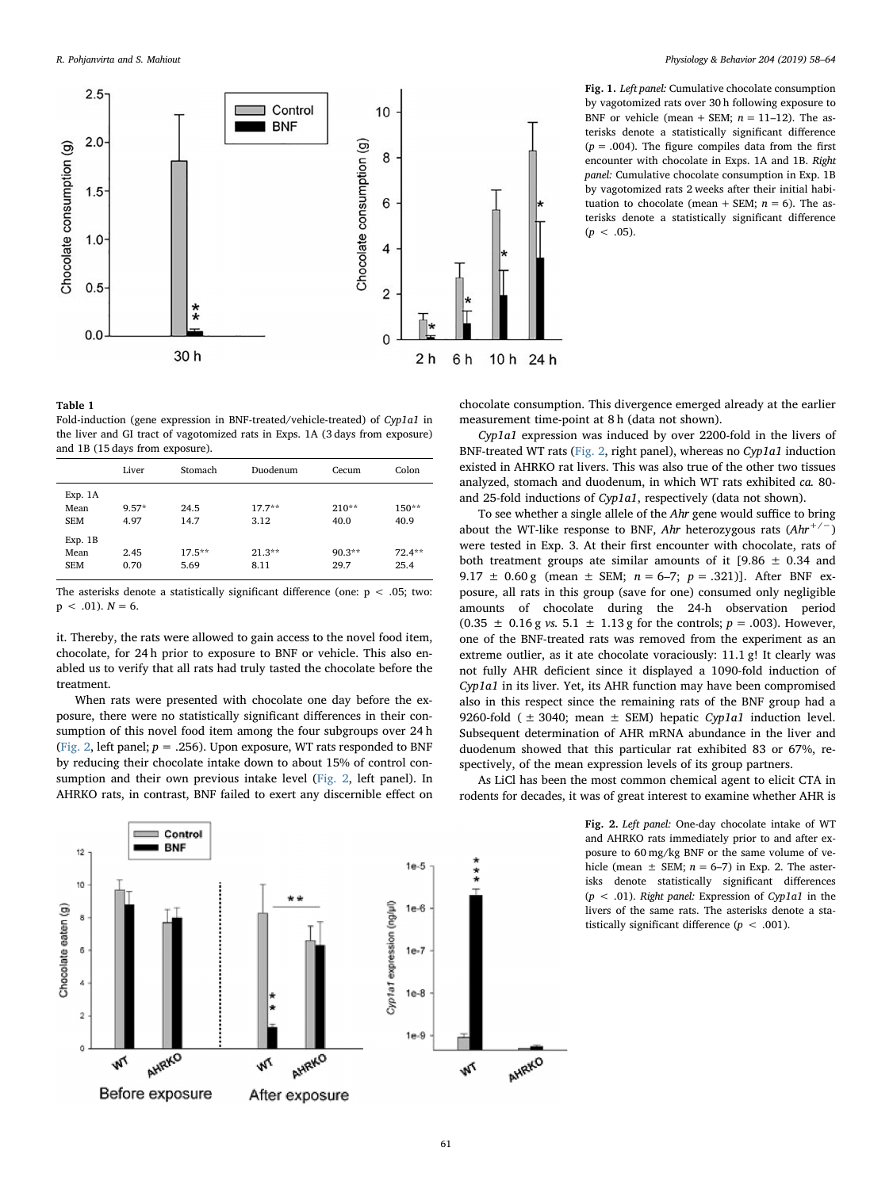<span id="page-3-0"></span>

Fig. 1. Left panel: Cumulative chocolate consumption by vagotomized rats over 30 h following exposure to BNF or vehicle (mean + SEM;  $n = 11-12$ ). The asterisks denote a statistically significant difference  $(p = .004)$ . The figure compiles data from the first encounter with chocolate in Exps. 1A and 1B. Right panel: Cumulative chocolate consumption in Exp. 1B by vagotomized rats 2 weeks after their initial habituation to chocolate (mean + SEM;  $n = 6$ ). The asterisks denote a statistically significant difference  $(p < .05)$ .

# <span id="page-3-1"></span>Table 1

Fold-induction (gene expression in BNF-treated/vehicle-treated) of Cyp1a1 in the liver and GI tract of vagotomized rats in Exps. 1A (3 days from exposure) and 1B (15 days from exposure).

|                               | Liver           | Stomach          | Duodenum         | Cecum            | Colon            |
|-------------------------------|-----------------|------------------|------------------|------------------|------------------|
| Exp. 1A<br>Mean<br><b>SEM</b> | $9.57*$<br>4.97 | 24.5<br>14.7     | $17.7**$<br>3.12 | $210**$<br>40.0  | $150**$<br>40.9  |
| Exp.1B<br>Mean<br><b>SEM</b>  | 2.45<br>0.70    | $17.5**$<br>5.69 | $21.3**$<br>8.11 | $90.3**$<br>29.7 | $72.4**$<br>25.4 |

The asterisks denote a statistically significant difference (one:  $p < .05$ ; two:  $p < .01$ ).  $N = 6$ .

it. Thereby, the rats were allowed to gain access to the novel food item, chocolate, for 24 h prior to exposure to BNF or vehicle. This also enabled us to verify that all rats had truly tasted the chocolate before the treatment.

When rats were presented with chocolate one day before the exposure, there were no statistically significant differences in their consumption of this novel food item among the four subgroups over 24 h ([Fig. 2](#page-3-2), left panel;  $p = .256$ ). Upon exposure, WT rats responded to BNF by reducing their chocolate intake down to about 15% of control consumption and their own previous intake level ([Fig. 2,](#page-3-2) left panel). In AHRKO rats, in contrast, BNF failed to exert any discernible effect on chocolate consumption. This divergence emerged already at the earlier measurement time-point at 8 h (data not shown).

Cyp1a1 expression was induced by over 2200-fold in the livers of BNF-treated WT rats ([Fig. 2](#page-3-2), right panel), whereas no Cyp1a1 induction existed in AHRKO rat livers. This was also true of the other two tissues analyzed, stomach and duodenum, in which WT rats exhibited ca. 80 and 25-fold inductions of Cyp1a1, respectively (data not shown).

To see whether a single allele of the Ahr gene would suffice to bring about the WT-like response to BNF, Ahr heterozygous rats  $(Ahr^{+/-})$ were tested in Exp. 3. At their first encounter with chocolate, rats of both treatment groups ate similar amounts of it  $[9.86 \pm 0.34$  and 9.17  $\pm$  0.60 g (mean  $\pm$  SEM;  $n = 6-7$ ;  $p = .321$ )]. After BNF exposure, all rats in this group (save for one) consumed only negligible amounts of chocolate during the 24-h observation period  $(0.35 \pm 0.16 \text{ g} \text{ vs. } 5.1 \pm 1.13 \text{ g} \text{ for the controls; } p = .003)$ . However, one of the BNF-treated rats was removed from the experiment as an extreme outlier, as it ate chocolate voraciously: 11.1 g! It clearly was not fully AHR deficient since it displayed a 1090-fold induction of Cyp1a1 in its liver. Yet, its AHR function may have been compromised also in this respect since the remaining rats of the BNF group had a 9260-fold ( $\pm$  3040; mean  $\pm$  SEM) hepatic Cyp1a1 induction level. Subsequent determination of AHR mRNA abundance in the liver and duodenum showed that this particular rat exhibited 83 or 67%, respectively, of the mean expression levels of its group partners.

As LiCl has been the most common chemical agent to elicit CTA in rodents for decades, it was of great interest to examine whether AHR is

> Fig. 2. Left panel: One-day chocolate intake of WT and AHRKO rats immediately prior to and after exposure to 60 mg/kg BNF or the same volume of vehicle (mean  $\pm$  SEM;  $n = 6-7$ ) in Exp. 2. The asterisks denote statistically significant differences  $(p < .01)$ . Right panel: Expression of Cyp1a1 in the livers of the same rats. The asterisks denote a statistically significant difference ( $p < .001$ ).

<span id="page-3-2"></span>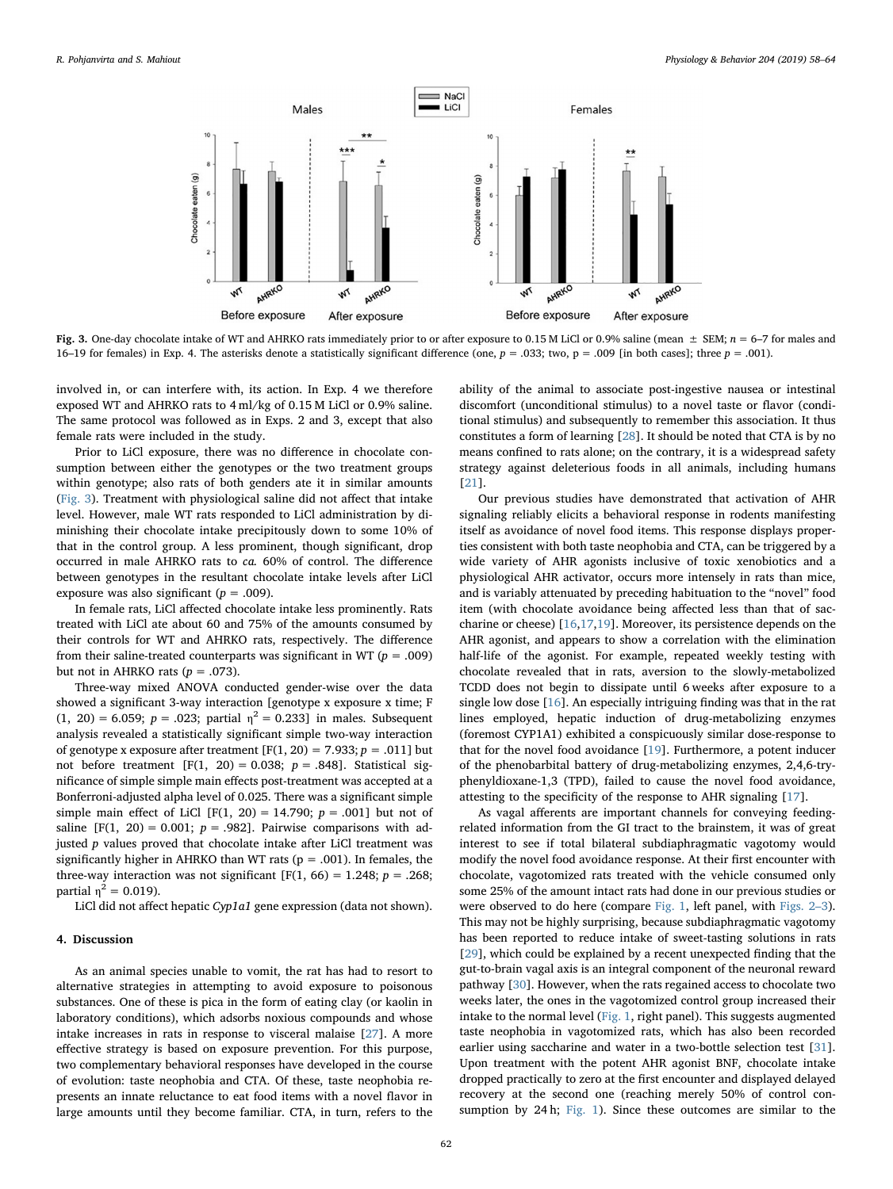<span id="page-4-0"></span>

Fig. 3. One-day chocolate intake of WT and AHRKO rats immediately prior to or after exposure to 0.15 M LiCl or 0.9% saline (mean  $\pm$  SEM;  $n = 6$ –7 for males and 16–19 for females) in Exp. 4. The asterisks denote a statistically significant difference (one,  $p = .033$ ; two,  $p = .009$  [in both cases]; three  $p = .001$ ).

involved in, or can interfere with, its action. In Exp. 4 we therefore exposed WT and AHRKO rats to 4 ml/kg of 0.15 M LiCl or 0.9% saline. The same protocol was followed as in Exps. 2 and 3, except that also female rats were included in the study.

Prior to LiCl exposure, there was no difference in chocolate consumption between either the genotypes or the two treatment groups within genotype; also rats of both genders ate it in similar amounts ([Fig. 3\)](#page-4-0). Treatment with physiological saline did not affect that intake level. However, male WT rats responded to LiCl administration by diminishing their chocolate intake precipitously down to some 10% of that in the control group. A less prominent, though significant, drop occurred in male AHRKO rats to ca. 60% of control. The difference between genotypes in the resultant chocolate intake levels after LiCl exposure was also significant ( $p = .009$ ).

In female rats, LiCl affected chocolate intake less prominently. Rats treated with LiCl ate about 60 and 75% of the amounts consumed by their controls for WT and AHRKO rats, respectively. The difference from their saline-treated counterparts was significant in WT ( $p = .009$ ) but not in AHRKO rats ( $p = .073$ ).

Three-way mixed ANOVA conducted gender-wise over the data showed a significant 3-way interaction [genotype x exposure x time; F (1, 20) = 6.059;  $p = 0.023$ ; partial  $\eta^2 = 0.233$ ] in males. Subsequent analysis revealed a statistically significant simple two-way interaction of genotype x exposure after treatment  $[F(1, 20) = 7.933; p = .011]$  but not before treatment [F(1, 20) = 0.038;  $p = .848$ ]. Statistical significance of simple simple main effects post-treatment was accepted at a Bonferroni-adjusted alpha level of 0.025. There was a significant simple simple main effect of LiCl  $[F(1, 20) = 14.790; p = .001]$  but not of saline [F(1, 20) = 0.001;  $p = .982$ ]. Pairwise comparisons with adjusted  $p$  values proved that chocolate intake after LiCl treatment was significantly higher in AHRKO than WT rats ( $p = .001$ ). In females, the three-way interaction was not significant [F(1, 66) = 1.248;  $p = .268$ ; partial  $\eta^2 = 0.019$ ).

LiCl did not affect hepatic Cyp1a1 gene expression (data not shown).

# 4. Discussion

As an animal species unable to vomit, the rat has had to resort to alternative strategies in attempting to avoid exposure to poisonous substances. One of these is pica in the form of eating clay (or kaolin in laboratory conditions), which adsorbs noxious compounds and whose intake increases in rats in response to visceral malaise [[27\]](#page-6-19). A more effective strategy is based on exposure prevention. For this purpose, two complementary behavioral responses have developed in the course of evolution: taste neophobia and CTA. Of these, taste neophobia represents an innate reluctance to eat food items with a novel flavor in large amounts until they become familiar. CTA, in turn, refers to the ability of the animal to associate post-ingestive nausea or intestinal discomfort (unconditional stimulus) to a novel taste or flavor (conditional stimulus) and subsequently to remember this association. It thus constitutes a form of learning [\[28](#page-6-20)]. It should be noted that CTA is by no means confined to rats alone; on the contrary, it is a widespread safety strategy against deleterious foods in all animals, including humans [[21\]](#page-6-13).

Our previous studies have demonstrated that activation of AHR signaling reliably elicits a behavioral response in rodents manifesting itself as avoidance of novel food items. This response displays properties consistent with both taste neophobia and CTA, can be triggered by a wide variety of AHR agonists inclusive of toxic xenobiotics and a physiological AHR activator, occurs more intensely in rats than mice, and is variably attenuated by preceding habituation to the "novel" food item (with chocolate avoidance being affected less than that of saccharine or cheese) [\[16](#page-6-8)[,17](#page-6-9)[,19](#page-6-11)]. Moreover, its persistence depends on the AHR agonist, and appears to show a correlation with the elimination half-life of the agonist. For example, repeated weekly testing with chocolate revealed that in rats, aversion to the slowly-metabolized TCDD does not begin to dissipate until 6 weeks after exposure to a single low dose [\[16](#page-6-8)]. An especially intriguing finding was that in the rat lines employed, hepatic induction of drug-metabolizing enzymes (foremost CYP1A1) exhibited a conspicuously similar dose-response to that for the novel food avoidance [\[19](#page-6-11)]. Furthermore, a potent inducer of the phenobarbital battery of drug-metabolizing enzymes, 2,4,6-tryphenyldioxane-1,3 (TPD), failed to cause the novel food avoidance, attesting to the specificity of the response to AHR signaling [[17\]](#page-6-9).

As vagal afferents are important channels for conveying feedingrelated information from the GI tract to the brainstem, it was of great interest to see if total bilateral subdiaphragmatic vagotomy would modify the novel food avoidance response. At their first encounter with chocolate, vagotomized rats treated with the vehicle consumed only some 25% of the amount intact rats had done in our previous studies or were observed to do here (compare [Fig. 1,](#page-3-0) left panel, with [Figs. 2](#page-3-2)–3). This may not be highly surprising, because subdiaphragmatic vagotomy has been reported to reduce intake of sweet-tasting solutions in rats [[29\]](#page-6-21), which could be explained by a recent unexpected finding that the gut-to-brain vagal axis is an integral component of the neuronal reward pathway [\[30](#page-6-22)]. However, when the rats regained access to chocolate two weeks later, the ones in the vagotomized control group increased their intake to the normal level [\(Fig. 1](#page-3-0), right panel). This suggests augmented taste neophobia in vagotomized rats, which has also been recorded earlier using saccharine and water in a two-bottle selection test [\[31](#page-6-23)]. Upon treatment with the potent AHR agonist BNF, chocolate intake dropped practically to zero at the first encounter and displayed delayed recovery at the second one (reaching merely 50% of control consumption by 24 h; [Fig. 1\)](#page-3-0). Since these outcomes are similar to the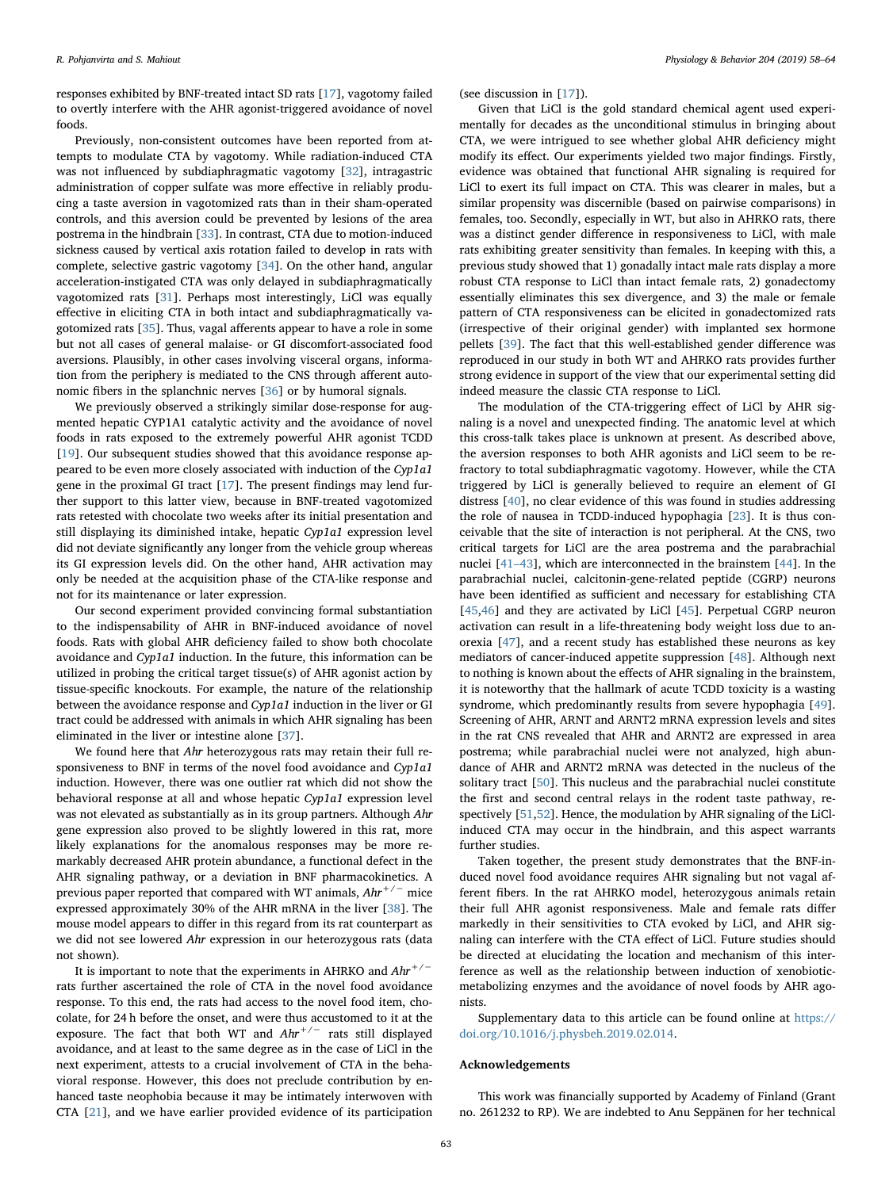responses exhibited by BNF-treated intact SD rats [\[17](#page-6-9)], vagotomy failed to overtly interfere with the AHR agonist-triggered avoidance of novel foods.

Previously, non-consistent outcomes have been reported from attempts to modulate CTA by vagotomy. While radiation-induced CTA was not influenced by subdiaphragmatic vagotomy [\[32](#page-6-24)], intragastric administration of copper sulfate was more effective in reliably producing a taste aversion in vagotomized rats than in their sham-operated controls, and this aversion could be prevented by lesions of the area postrema in the hindbrain [[33\]](#page-6-25). In contrast, CTA due to motion-induced sickness caused by vertical axis rotation failed to develop in rats with complete, selective gastric vagotomy [\[34](#page-6-26)]. On the other hand, angular acceleration-instigated CTA was only delayed in subdiaphragmatically vagotomized rats [[31\]](#page-6-23). Perhaps most interestingly, LiCl was equally effective in eliciting CTA in both intact and subdiaphragmatically vagotomized rats [[35\]](#page-6-27). Thus, vagal afferents appear to have a role in some but not all cases of general malaise- or GI discomfort-associated food aversions. Plausibly, in other cases involving visceral organs, information from the periphery is mediated to the CNS through afferent autonomic fibers in the splanchnic nerves [[36\]](#page-6-28) or by humoral signals.

We previously observed a strikingly similar dose-response for augmented hepatic CYP1A1 catalytic activity and the avoidance of novel foods in rats exposed to the extremely powerful AHR agonist TCDD [[19\]](#page-6-11). Our subsequent studies showed that this avoidance response appeared to be even more closely associated with induction of the Cyp1a1 gene in the proximal GI tract [[17\]](#page-6-9). The present findings may lend further support to this latter view, because in BNF-treated vagotomized rats retested with chocolate two weeks after its initial presentation and still displaying its diminished intake, hepatic Cyp1a1 expression level did not deviate significantly any longer from the vehicle group whereas its GI expression levels did. On the other hand, AHR activation may only be needed at the acquisition phase of the CTA-like response and not for its maintenance or later expression.

Our second experiment provided convincing formal substantiation to the indispensability of AHR in BNF-induced avoidance of novel foods. Rats with global AHR deficiency failed to show both chocolate avoidance and Cyp1a1 induction. In the future, this information can be utilized in probing the critical target tissue(s) of AHR agonist action by tissue-specific knockouts. For example, the nature of the relationship between the avoidance response and Cyp1a1 induction in the liver or GI tract could be addressed with animals in which AHR signaling has been eliminated in the liver or intestine alone [\[37](#page-6-29)].

We found here that Ahr heterozygous rats may retain their full responsiveness to BNF in terms of the novel food avoidance and Cyp1a1 induction. However, there was one outlier rat which did not show the behavioral response at all and whose hepatic Cyp1a1 expression level was not elevated as substantially as in its group partners. Although Ahr gene expression also proved to be slightly lowered in this rat, more likely explanations for the anomalous responses may be more remarkably decreased AHR protein abundance, a functional defect in the AHR signaling pathway, or a deviation in BNF pharmacokinetics. A previous paper reported that compared with WT animals,  $A h r^{+/-}$  mice expressed approximately 30% of the AHR mRNA in the liver [\[38](#page-6-30)]. The mouse model appears to differ in this regard from its rat counterpart as we did not see lowered Ahr expression in our heterozygous rats (data not shown).

It is important to note that the experiments in AHRKO and  $Ahr^{+/-}$ rats further ascertained the role of CTA in the novel food avoidance response. To this end, the rats had access to the novel food item, chocolate, for 24 h before the onset, and were thus accustomed to it at the exposure. The fact that both WT and  $Ahr^{+/-}$  rats still displayed avoidance, and at least to the same degree as in the case of LiCl in the next experiment, attests to a crucial involvement of CTA in the behavioral response. However, this does not preclude contribution by enhanced taste neophobia because it may be intimately interwoven with CTA [\[21](#page-6-13)], and we have earlier provided evidence of its participation

(see discussion in [[17\]](#page-6-9)).

Given that LiCl is the gold standard chemical agent used experimentally for decades as the unconditional stimulus in bringing about CTA, we were intrigued to see whether global AHR deficiency might modify its effect. Our experiments yielded two major findings. Firstly, evidence was obtained that functional AHR signaling is required for LiCl to exert its full impact on CTA. This was clearer in males, but a similar propensity was discernible (based on pairwise comparisons) in females, too. Secondly, especially in WT, but also in AHRKO rats, there was a distinct gender difference in responsiveness to LiCl, with male rats exhibiting greater sensitivity than females. In keeping with this, a previous study showed that 1) gonadally intact male rats display a more robust CTA response to LiCl than intact female rats, 2) gonadectomy essentially eliminates this sex divergence, and 3) the male or female pattern of CTA responsiveness can be elicited in gonadectomized rats (irrespective of their original gender) with implanted sex hormone pellets [[39\]](#page-6-31). The fact that this well-established gender difference was reproduced in our study in both WT and AHRKO rats provides further strong evidence in support of the view that our experimental setting did indeed measure the classic CTA response to LiCl.

The modulation of the CTA-triggering effect of LiCl by AHR signaling is a novel and unexpected finding. The anatomic level at which this cross-talk takes place is unknown at present. As described above, the aversion responses to both AHR agonists and LiCl seem to be refractory to total subdiaphragmatic vagotomy. However, while the CTA triggered by LiCl is generally believed to require an element of GI distress [[40\]](#page-6-32), no clear evidence of this was found in studies addressing the role of nausea in TCDD-induced hypophagia [[23\]](#page-6-15). It is thus conceivable that the site of interaction is not peripheral. At the CNS, two critical targets for LiCl are the area postrema and the parabrachial nuclei [41–[43\]](#page-6-33), which are interconnected in the brainstem [[44\]](#page-6-34). In the parabrachial nuclei, calcitonin-gene-related peptide (CGRP) neurons have been identified as sufficient and necessary for establishing CTA [[45](#page-6-35)[,46](#page-6-36)] and they are activated by LiCl [\[45](#page-6-35)]. Perpetual CGRP neuron activation can result in a life-threatening body weight loss due to anorexia [\[47](#page-6-37)], and a recent study has established these neurons as key mediators of cancer-induced appetite suppression [[48\]](#page-6-38). Although next to nothing is known about the effects of AHR signaling in the brainstem, it is noteworthy that the hallmark of acute TCDD toxicity is a wasting syndrome, which predominantly results from severe hypophagia [\[49](#page-6-39)]. Screening of AHR, ARNT and ARNT2 mRNA expression levels and sites in the rat CNS revealed that AHR and ARNT2 are expressed in area postrema; while parabrachial nuclei were not analyzed, high abundance of AHR and ARNT2 mRNA was detected in the nucleus of the solitary tract [[50\]](#page-6-40). This nucleus and the parabrachial nuclei constitute the first and second central relays in the rodent taste pathway, respectively [[51](#page-6-41)[,52](#page-6-42)]. Hence, the modulation by AHR signaling of the LiClinduced CTA may occur in the hindbrain, and this aspect warrants further studies.

Taken together, the present study demonstrates that the BNF-induced novel food avoidance requires AHR signaling but not vagal afferent fibers. In the rat AHRKO model, heterozygous animals retain their full AHR agonist responsiveness. Male and female rats differ markedly in their sensitivities to CTA evoked by LiCl, and AHR signaling can interfere with the CTA effect of LiCl. Future studies should be directed at elucidating the location and mechanism of this interference as well as the relationship between induction of xenobioticmetabolizing enzymes and the avoidance of novel foods by AHR agonists.

Supplementary data to this article can be found online at [https://](https://doi.org/10.1016/j.physbeh.2019.02.014) [doi.org/10.1016/j.physbeh.2019.02.014.](https://doi.org/10.1016/j.physbeh.2019.02.014)

#### Acknowledgements

This work was financially supported by Academy of Finland (Grant no. 261232 to RP). We are indebted to Anu Seppänen for her technical